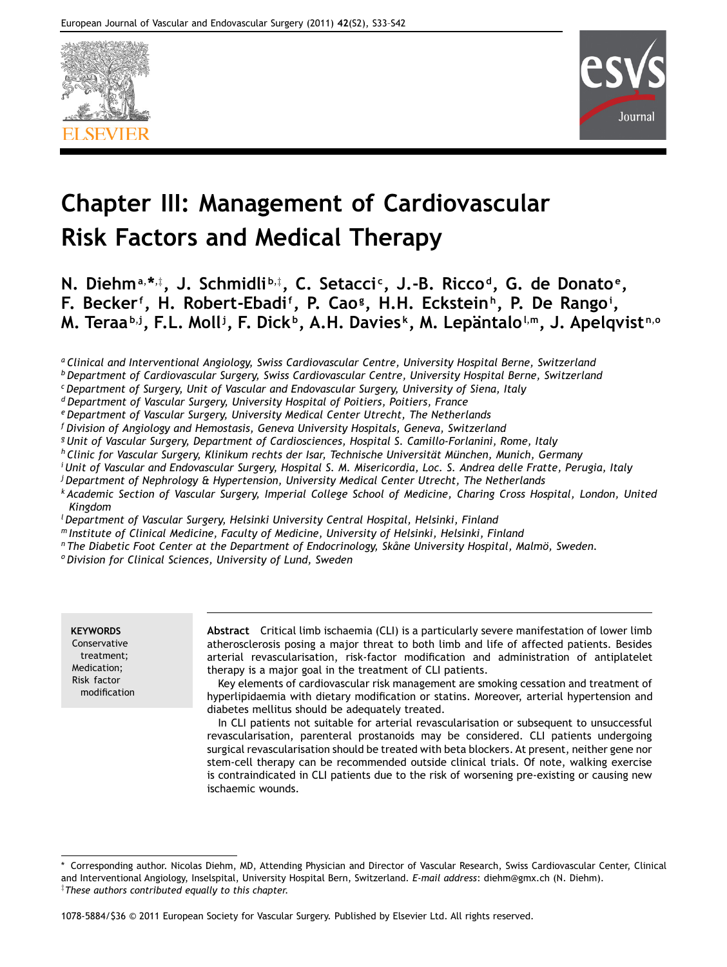



# Chapter III: Management of Cardiovascular Risk Factors and Medical Therapy

N. Diehma,\*,‡, J. Schmidlib,‡, C. Setacci¢, J.-B. Riccod, G. de Donatoe, F. Becker<sup>f</sup>, H. Robert-Ebadi<sup>f</sup>, P. Cao<sup>g</sup>, H.H. Ecksteinh, P. De Rangoi, M. Teraaʰ,i, F.L. Mollʲ, F. Dickʰ, A.H. Daviesʰ, M. Lepäntaloʰ,m, J. Apelqvistʰ,º

<sup>a</sup> Clinical and Interventional Angiology, Swiss Cardiovascular Centre, University Hospital Berne, Switzerland

<sup>b</sup> Department of Cardiovascular Surgery, Swiss Cardiovascular Centre, University Hospital Berne, Switzerland

<sup>c</sup> Department of Surgery, Unit of Vascular and Endovascular Surgery, University of Siena, Italy

<sup>d</sup> Department of Vascular Surgery, University Hospital of Poitiers, Poitiers, France

<sup>e</sup> Department of Vascular Surgery, University Medical Center Utrecht, The Netherlands

f Division of Angiology and Hemostasis, Geneva University Hospitals, Geneva, Switzerland

<sup>g</sup> Unit of Vascular Surgery, Department of Cardiosciences, Hospital S. Camillo-Forlanini, Rome, Italy

h Clinic for Vascular Surgery, Klinikum rechts der Isar, Technische Universität München, Munich, Germany

<sup>i</sup> Unit of Vascular and Endovascular Surgery, Hospital S. M. Misericordia, Loc. S. Andrea delle Fratte, Perugia, Italy

 $^{j}$  Department of Nephrology & Hypertension, University Medical Center Utrecht, The Netherlands

<sup>k</sup> Academic Section of Vascular Surgery, Imperial College School of Medicine, Charing Cross Hospital, London, United Kingdom

<sup>I</sup> Department of Vascular Surgery, Helsinki University Central Hospital, Helsinki, Finland

<sup>m</sup> Institute of Clinical Medicine, Faculty of Medicine, University of Helsinki, Helsinki, Finland

n The Diabetic Foot Center at the Department of Endocrinology, Skåne University Hospital, Malmö, Sweden.

<sup>o</sup> Division for Clinical Sciences, University of Lund, Sweden

**KEYWORDS** 

Conservative treatment; Medication; Risk factor modification Abstract Critical limb ischaemia (CLI) is a particularly severe manifestation of lower limb atherosclerosis posing a major threat to both limb and life of affected patients. Besides arterial revascularisation, risk-factor modification and administration of antiplatelet therapy is a major goal in the treatment of CLI patients.

Key elements of cardiovascular risk management are smoking cessation and treatment of hyperlipidaemia with dietary modification or statins. Moreover, arterial hypertension and diabetes mellitus should be adequately treated.

In CLI patients not suitable for arterial revascularisation or subsequent to unsuccessful revascularisation, parenteral prostanoids may be considered. CLI patients undergoing surgical revascularisation should be treated with beta blockers. At present, neither gene nor stem-cell therapy can be recommended outside clinical trials. Of note, walking exercise is contraindicated in CLI patients due to the risk of worsening pre-existing or causing new ischaemic wounds.

<sup>\*</sup> Corresponding author. Nicolas Diehm, MD, Attending Physician and Director of Vascular Research, Swiss Cardiovascular Center, Clinical and Interventional Angiology, Inselspital, University Hospital Bern, Switzerland. E-mail address: diehm@gmx.ch (N. Diehm).  $\overline{a}$ <sup>†</sup>These authors contributed equally to this chapter.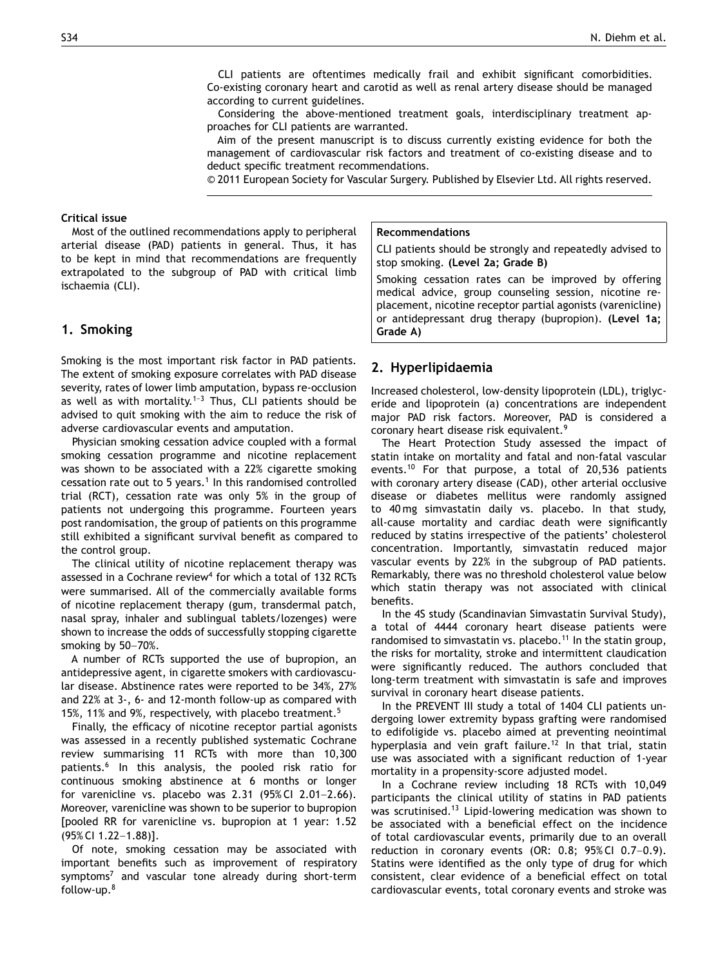CLI patients are oftentimes medically frail and exhibit significant comorbidities. Co-existing coronary heart and carotid as well as renal artery disease should be managed according to current guidelines.

Considering the above-mentioned treatment goals, interdisciplinary treatment approaches for CLI patients are warranted.

Aim of the present manuscript is to discuss currently existing evidence for both the management of cardiovascular risk factors and treatment of co-existing disease and to deduct specific treatment recommendations.

© 2011 European Society for Vascular Surgery. Published by Elsevier Ltd. All rights reserved.

#### Critical issue

Most of the outlined recommendations apply to peripheral arterial disease (PAD) patients in general. Thus, it has to be kept in mind that recommendations are frequently extrapolated to the subgroup of PAD with critical limb ischaemia (CLI).

# 1. Smoking

Smoking is the most important risk factor in PAD patients. The extent of smoking exposure correlates with PAD disease severity, rates of lower limb amputation, bypass re-occlusion as well as with mortality.<sup>1-3</sup> Thus, CLI patients should be advised to quit smoking with the aim to reduce the risk of adverse cardiovascular events and amputation.

Physician smoking cessation advice coupled with a formal smoking cessation programme and nicotine replacement was shown to be associated with a 22% cigarette smoking cessation rate out to 5 years.<sup>1</sup> In this randomised controlled trial (RCT), cessation rate was only 5% in the group of patients not undergoing this programme. Fourteen years post randomisation, the group of patients on this programme still exhibited a significant survival benefit as compared to the control group.

The clinical utility of nicotine replacement therapy was assessed in a Cochrane review<sup>4</sup> for which a total of 132 RCTs were summarised. All of the commercially available forms of nicotine replacement therapy (gum, transdermal patch, nasal spray, inhaler and sublingual tablets/lozenges) were shown to increase the odds of successfully stopping cigarette smoking by 50-70%.

A number of RCTs supported the use of bupropion, an antidepressive agent, in cigarette smokers with cardiovascular disease. Abstinence rates were reported to be 34%, 27% and 22% at 3-, 6- and 12-month follow-up as compared with 15%, 11% and 9%, respectively, with placebo treatment.5

Finally, the efficacy of nicotine receptor partial agonists was assessed in a recently published systematic Cochrane review summarising 11 RCTs with more than 10,300 patients.<sup>6</sup> In this analysis, the pooled risk ratio for continuous smoking abstinence at 6 months or longer for varenicline vs. placebo was  $2.31$  (95% CI  $2.01-2.66$ ). Moreover, varenicline was shown to be superior to bupropion [pooled RR for varenicline vs. bupropion at 1 year: 1.52  $(95\%$  CI 1.22-1.88)].

Of note, smoking cessation may be associated with important benefits such as improvement of respiratory symptoms<sup>7</sup> and vascular tone already during short-term follow-up.8

#### Recommendations

CLI patients should be strongly and repeatedly advised to stop smoking. (Level 2a; Grade B)

Smoking cessation rates can be improved by offering medical advice, group counseling session, nicotine replacement, nicotine receptor partial agonists (varenicline) or antidepressant drug therapy (bupropion). (Level 1a; Grade A)

#### 2. Hyperlipidaemia

Increased cholesterol, low-density lipoprotein (LDL), triglyceride and lipoprotein (a) concentrations are independent major PAD risk factors. Moreover, PAD is considered a coronary heart disease risk equivalent.9

The Heart Protection Study assessed the impact of statin intake on mortality and fatal and non-fatal vascular events.10 For that purpose, a total of 20,536 patients with coronary artery disease (CAD), other arterial occlusive disease or diabetes mellitus were randomly assigned to 40 mg simvastatin daily vs. placebo. In that study, all-cause mortality and cardiac death were significantly reduced by statins irrespective of the patients' cholesterol concentration. Importantly, simvastatin reduced major vascular events by 22% in the subgroup of PAD patients. Remarkably, there was no threshold cholesterol value below which statin therapy was not associated with clinical benefits.

In the 4S study (Scandinavian Simvastatin Survival Study), a total of 4444 coronary heart disease patients were randomised to simvastatin vs. placebo.<sup>11</sup> In the statin group, the risks for mortality, stroke and intermittent claudication were significantly reduced. The authors concluded that long-term treatment with simvastatin is safe and improves survival in coronary heart disease patients.

In the PREVENT III study a total of 1404 CLI patients undergoing lower extremity bypass grafting were randomised to edifoligide vs. placebo aimed at preventing neointimal hyperplasia and vein graft failure.<sup>12</sup> In that trial, statin use was associated with a significant reduction of 1-year mortality in a propensity-score adjusted model.

In a Cochrane review including 18 RCTs with 10,049 participants the clinical utility of statins in PAD patients was scrutinised.<sup>13</sup> Lipid-lowering medication was shown to be associated with a beneficial effect on the incidence of total cardiovascular events, primarily due to an overall reduction in coronary events (OR:  $0.8$ ;  $95\%$ CI  $0.7-0.9$ ). Statins were identified as the only type of drug for which consistent, clear evidence of a beneficial effect on total cardiovascular events, total coronary events and stroke was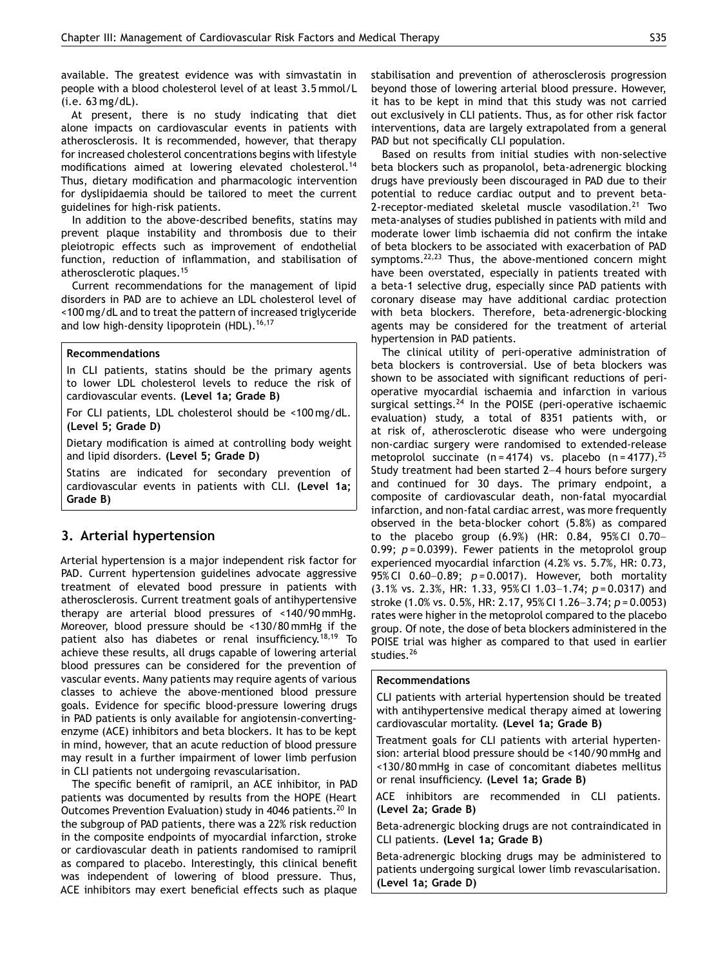available. The greatest evidence was with simvastatin in people with a blood cholesterol level of at least 3.5 mmol/L (i.e. 63 mg/dL).

At present, there is no study indicating that diet alone impacts on cardiovascular events in patients with atherosclerosis. It is recommended, however, that therapy for increased cholesterol concentrations begins with lifestyle modifications aimed at lowering elevated cholesterol.<sup>14</sup> Thus, dietary modification and pharmacologic intervention for dyslipidaemia should be tailored to meet the current guidelines for high-risk patients.

In addition to the above-described benefits, statins may prevent plaque instability and thrombosis due to their pleiotropic effects such as improvement of endothelial function, reduction of inflammation, and stabilisation of atherosclerotic plaques.15

Current recommendations for the management of lipid disorders in PAD are to achieve an LDL cholesterol level of <100 mg/dL and to treat the pattern of increased triglyceride and low high-density lipoprotein (HDL).<sup>16,17</sup>

#### Recommendations

In CLI patients, statins should be the primary agents to lower LDL cholesterol levels to reduce the risk of cardiovascular events. (Level 1a; Grade B)

For CLI patients, LDL cholesterol should be <100 mg/dL. (Level 5; Grade D)

Dietary modification is aimed at controlling body weight and lipid disorders. (Level 5; Grade D)

Statins are indicated for secondary prevention of cardiovascular events in patients with CLI. (Level 1a; Grade B)

## 3. Arterial hypertension

Arterial hypertension is a major independent risk factor for PAD. Current hypertension guidelines advocate aggressive treatment of elevated bood pressure in patients with atherosclerosis. Current treatment goals of antihypertensive therapy are arterial blood pressures of <140/90 mmHg. Moreover, blood pressure should be <130/80 mmHg if the patient also has diabetes or renal insufficiency.<sup>18,19</sup> To achieve these results, all drugs capable of lowering arterial blood pressures can be considered for the prevention of vascular events. Many patients may require agents of various classes to achieve the above-mentioned blood pressure goals. Evidence for specific blood-pressure lowering drugs in PAD patients is only available for angiotensin-convertingenzyme (ACE) inhibitors and beta blockers. It has to be kept in mind, however, that an acute reduction of blood pressure may result in a further impairment of lower limb perfusion in CLI patients not undergoing revascularisation.

The specific benefit of ramipril, an ACE inhibitor, in PAD patients was documented by results from the HOPE (Heart Outcomes Prevention Evaluation) study in 4046 patients.<sup>20</sup> In the subgroup of PAD patients, there was a 22% risk reduction in the composite endpoints of myocardial infarction, stroke or cardiovascular death in patients randomised to ramipril as compared to placebo. Interestingly, this clinical benefit was independent of lowering of blood pressure. Thus, ACE inhibitors may exert beneficial effects such as plaque

stabilisation and prevention of atherosclerosis progression beyond those of lowering arterial blood pressure. However, it has to be kept in mind that this study was not carried out exclusively in CLI patients. Thus, as for other risk factor interventions, data are largely extrapolated from a general PAD but not specifically CLI population.

Based on results from initial studies with non-selective beta blockers such as propanolol, beta-adrenergic blocking drugs have previously been discouraged in PAD due to their potential to reduce cardiac output and to prevent beta-2-receptor-mediated skeletal muscle vasodilation.<sup>21</sup> Two meta-analyses of studies published in patients with mild and moderate lower limb ischaemia did not confirm the intake of beta blockers to be associated with exacerbation of PAD symptoms. $22,23$  Thus, the above-mentioned concern might have been overstated, especially in patients treated with a beta-1 selective drug, especially since PAD patients with coronary disease may have additional cardiac protection with beta blockers. Therefore, beta-adrenergic-blocking agents may be considered for the treatment of arterial hypertension in PAD patients.

The clinical utility of peri-operative administration of beta blockers is controversial. Use of beta blockers was shown to be associated with significant reductions of perioperative myocardial ischaemia and infarction in various surgical settings.24 In the POISE (peri-operative ischaemic evaluation) study, a total of 8351 patients with, or at risk of, atherosclerotic disease who were undergoing non-cardiac surgery were randomised to extended-release metoprolol succinate (n=4174) vs. placebo (n=4177).<sup>25</sup> Study treatment had been started  $2-4$  hours before surgery and continued for 30 days. The primary endpoint, a composite of cardiovascular death, non-fatal myocardial infarction, and non-fatal cardiac arrest, was more frequently observed in the beta-blocker cohort (5.8%) as compared to the placebo group (6.9%) (HR: 0.84, 95% CI 0.70–– 0.99;  $p = 0.0399$ ). Fewer patients in the metoprolol group experienced myocardial infarction (4.2% vs. 5.7%, HR: 0.73, 95% CI 0.60-0.89;  $p = 0.0017$ ). However, both mortality  $(3.1\% \text{ vs. } 2.3\%, \text{ HR: } 1.33, \text{ 95\% CI } 1.03-1.74; p=0.0317)$  and stroke (1.0% vs. 0.5%, HR: 2.17, 95% CI 1.26-3.74;  $p = 0.0053$ ) rates were higher in the metoprolol compared to the placebo group. Of note, the dose of beta blockers administered in the POISE trial was higher as compared to that used in earlier studies.<sup>26</sup>

#### Recommendations

CLI patients with arterial hypertension should be treated with antihypertensive medical therapy aimed at lowering cardiovascular mortality. (Level 1a; Grade B)

Treatment goals for CLI patients with arterial hypertension: arterial blood pressure should be <140/90 mmHg and <130/80 mmHg in case of concomitant diabetes mellitus or renal insufficiency. (Level 1a; Grade B)

ACE inhibitors are recommended in CLI patients. (Level 2a; Grade B)

Beta-adrenergic blocking drugs are not contraindicated in CLI patients. (Level 1a; Grade B)

Beta-adrenergic blocking drugs may be administered to patients undergoing surgical lower limb revascularisation. (Level 1a; Grade D)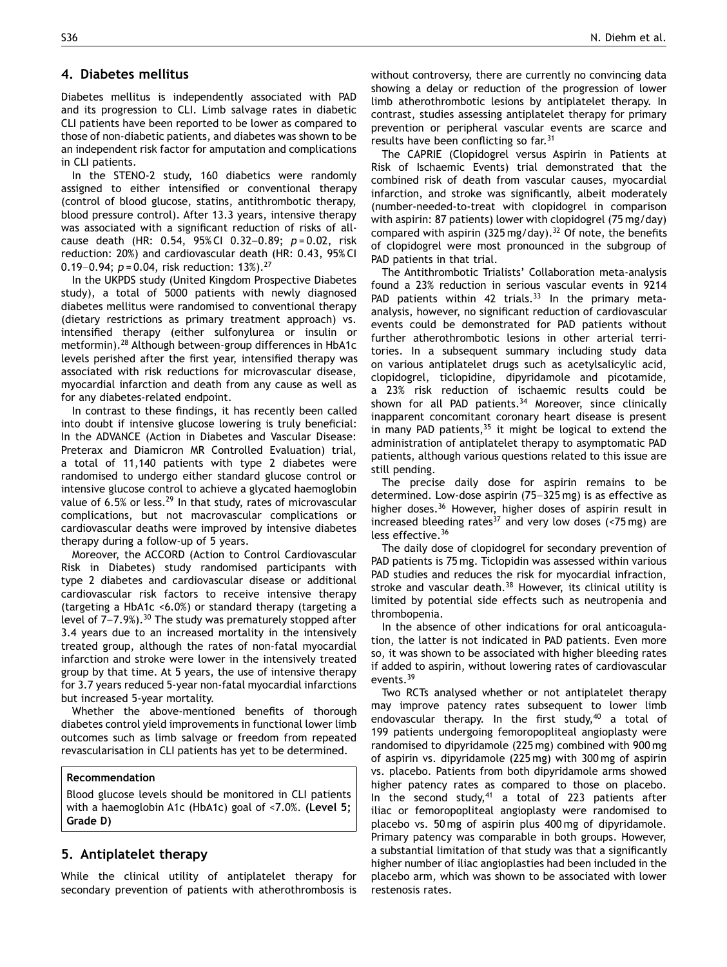## 4. Diabetes mellitus

Diabetes mellitus is independently associated with PAD and its progression to CLI. Limb salvage rates in diabetic CLI patients have been reported to be lower as compared to those of non-diabetic patients, and diabetes was shown to be an independent risk factor for amputation and complications in CLI patients.

In the STENO-2 study, 160 diabetics were randomly assigned to either intensified or conventional therapy (control of blood glucose, statins, antithrombotic therapy, blood pressure control). After 13.3 years, intensive therapy was associated with a significant reduction of risks of allcause death (HR: 0.54, 95% CI 0.32-0.89;  $p = 0.02$ , risk reduction: 20%) and cardiovascular death (HR: 0.43, 95% CI 0.19–0.94;  $p = 0.04$ , risk reduction: 13%).<sup>27</sup>

In the UKPDS study (United Kingdom Prospective Diabetes study), a total of 5000 patients with newly diagnosed diabetes mellitus were randomised to conventional therapy (dietary restrictions as primary treatment approach) vs. intensified therapy (either sulfonylurea or insulin or metformin).28 Although between-group differences in HbA1c levels perished after the first year, intensified therapy was associated with risk reductions for microvascular disease, myocardial infarction and death from any cause as well as for any diabetes-related endpoint.

In contrast to these findings, it has recently been called into doubt if intensive glucose lowering is truly beneficial: In the ADVANCE (Action in Diabetes and Vascular Disease: Preterax and Diamicron MR Controlled Evaluation) trial, a total of 11,140 patients with type 2 diabetes were randomised to undergo either standard glucose control or intensive glucose control to achieve a glycated haemoglobin value of 6.5% or less.29 In that study, rates of microvascular complications, but not macrovascular complications or cardiovascular deaths were improved by intensive diabetes therapy during a follow-up of 5 years.

Moreover, the ACCORD (Action to Control Cardiovascular Risk in Diabetes) study randomised participants with type 2 diabetes and cardiovascular disease or additional cardiovascular risk factors to receive intensive therapy (targeting a HbA1c <6.0%) or standard therapy (targeting a level of  $7-7.9%$ ).<sup>30</sup> The study was prematurely stopped after 3.4 years due to an increased mortality in the intensively treated group, although the rates of non-fatal myocardial infarction and stroke were lower in the intensively treated group by that time. At 5 years, the use of intensive therapy for 3.7 years reduced 5-year non-fatal myocardial infarctions but increased 5-year mortality.

Whether the above-mentioned benefits of thorough diabetes control yield improvements in functional lower limb outcomes such as limb salvage or freedom from repeated revascularisation in CLI patients has yet to be determined.

## Recommendation

Blood glucose levels should be monitored in CLI patients with a haemoglobin A1c (HbA1c) goal of <7.0%. (Level 5; Grade D)

# 5. Antiplatelet therapy

While the clinical utility of antiplatelet therapy for secondary prevention of patients with atherothrombosis is without controversy, there are currently no convincing data showing a delay or reduction of the progression of lower limb atherothrombotic lesions by antiplatelet therapy. In contrast, studies assessing antiplatelet therapy for primary prevention or peripheral vascular events are scarce and results have been conflicting so far.<sup>31</sup>

The CAPRIE (Clopidogrel versus Aspirin in Patients at Risk of Ischaemic Events) trial demonstrated that the combined risk of death from vascular causes, myocardial infarction, and stroke was significantly, albeit moderately (number-needed-to-treat with clopidogrel in comparison with aspirin: 87 patients) lower with clopidogrel (75 mg/day) compared with aspirin (325 mg/day).<sup>32</sup> Of note, the benefits of clopidogrel were most pronounced in the subgroup of PAD patients in that trial.

The Antithrombotic Trialists' Collaboration meta-analysis found a 23% reduction in serious vascular events in 9214 PAD patients within 42 trials. $33$  In the primary metaanalysis, however, no significant reduction of cardiovascular events could be demonstrated for PAD patients without further atherothrombotic lesions in other arterial territories. In a subsequent summary including study data on various antiplatelet drugs such as acetylsalicylic acid, clopidogrel, ticlopidine, dipyridamole and picotamide, a 23% risk reduction of ischaemic results could be shown for all PAD patients.<sup>34</sup> Moreover, since clinically inapparent concomitant coronary heart disease is present in many PAD patients,  $35$  it might be logical to extend the administration of antiplatelet therapy to asymptomatic PAD patients, although various questions related to this issue are still pending.

The precise daily dose for aspirin remains to be determined. Low-dose aspirin (75–325 mg) is as effective as higher doses.<sup>36</sup> However, higher doses of aspirin result in increased bleeding rates<sup>37</sup> and very low doses (<75 mg) are less effective.<sup>36</sup>

The daily dose of clopidogrel for secondary prevention of PAD patients is 75 mg. Ticlopidin was assessed within various PAD studies and reduces the risk for myocardial infraction, stroke and vascular death. $38$  However, its clinical utility is limited by potential side effects such as neutropenia and thrombopenia.

In the absence of other indications for oral anticoagulation, the latter is not indicated in PAD patients. Even more so, it was shown to be associated with higher bleeding rates if added to aspirin, without lowering rates of cardiovascular events.<sup>39</sup>

Two RCTs analysed whether or not antiplatelet therapy may improve patency rates subsequent to lower limb endovascular therapy. In the first study, $40$  a total of 199 patients undergoing femoropopliteal angioplasty were randomised to dipyridamole (225 mg) combined with 900 mg of aspirin vs. dipyridamole (225 mg) with 300 mg of aspirin vs. placebo. Patients from both dipyridamole arms showed higher patency rates as compared to those on placebo. In the second study, $41$  a total of 223 patients after iliac or femoropopliteal angioplasty were randomised to placebo vs. 50 mg of aspirin plus 400 mg of dipyridamole. Primary patency was comparable in both groups. However, a substantial limitation of that study was that a significantly higher number of iliac angioplasties had been included in the placebo arm, which was shown to be associated with lower restenosis rates.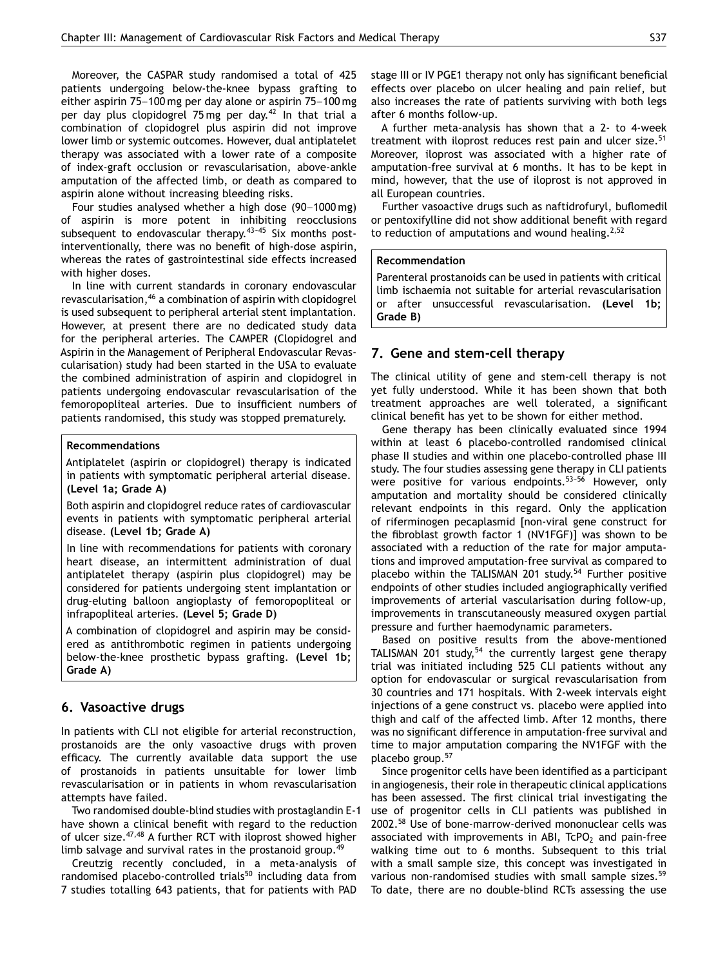Moreover, the CASPAR study randomised a total of 425 patients undergoing below-the-knee bypass grafting to either aspirin 75-100 mg per day alone or aspirin 75-100 mg per day plus clopidogrel 75 mg per day.<sup>42</sup> In that trial a combination of clopidogrel plus aspirin did not improve lower limb or systemic outcomes. However, dual antiplatelet therapy was associated with a lower rate of a composite of index-graft occlusion or revascularisation, above-ankle amputation of the affected limb, or death as compared to aspirin alone without increasing bleeding risks.

Four studies analysed whether a high dose (90-1000 mg) of aspirin is more potent in inhibiting reocclusions subsequent to endovascular therapy. $43-45$  Six months postinterventionally, there was no benefit of high-dose aspirin, whereas the rates of gastrointestinal side effects increased with higher doses.

In line with current standards in coronary endovascular revascularisation,46 a combination of aspirin with clopidogrel is used subsequent to peripheral arterial stent implantation. However, at present there are no dedicated study data for the peripheral arteries. The CAMPER (Clopidogrel and Aspirin in the Management of Peripheral Endovascular Revascularisation) study had been started in the USA to evaluate the combined administration of aspirin and clopidogrel in patients undergoing endovascular revascularisation of the femoropopliteal arteries. Due to insufficient numbers of patients randomised, this study was stopped prematurely.

## Recommendations

Antiplatelet (aspirin or clopidogrel) therapy is indicated in patients with symptomatic peripheral arterial disease. (Level 1a; Grade A)

Both aspirin and clopidogrel reduce rates of cardiovascular events in patients with symptomatic peripheral arterial disease. (Level 1b; Grade A)

In line with recommendations for patients with coronary heart disease, an intermittent administration of dual antiplatelet therapy (aspirin plus clopidogrel) may be considered for patients undergoing stent implantation or drug-eluting balloon angioplasty of femoropopliteal or infrapopliteal arteries. (Level 5; Grade D)

A combination of clopidogrel and aspirin may be considered as antithrombotic regimen in patients undergoing below-the-knee prosthetic bypass grafting. (Level 1b; Grade A)

#### 6. Vasoactive drugs

In patients with CLI not eligible for arterial reconstruction, prostanoids are the only vasoactive drugs with proven efficacy. The currently available data support the use of prostanoids in patients unsuitable for lower limb revascularisation or in patients in whom revascularisation attempts have failed.

Two randomised double-blind studies with prostaglandin E-1 have shown a clinical benefit with regard to the reduction of ulcer size.<sup>47,48</sup> A further RCT with iloprost showed higher limb salvage and survival rates in the prostanoid group.<sup>49</sup>

Creutzig recently concluded, in a meta-analysis of randomised placebo-controlled trials<sup>50</sup> including data from 7 studies totalling 643 patients, that for patients with PAD stage III or IV PGE1 therapy not only has significant beneficial effects over placebo on ulcer healing and pain relief, but also increases the rate of patients surviving with both legs after 6 months follow-up.

A further meta-analysis has shown that a 2- to 4-week treatment with iloprost reduces rest pain and ulcer size.<sup>51</sup> Moreover, iloprost was associated with a higher rate of amputation-free survival at 6 months. It has to be kept in mind, however, that the use of iloprost is not approved in all European countries.

Further vasoactive drugs such as naftidrofuryl, buflomedil or pentoxifylline did not show additional benefit with regard to reduction of amputations and wound healing. $2,52$ 

## Recommendation

Parenteral prostanoids can be used in patients with critical limb ischaemia not suitable for arterial revascularisation or after unsuccessful revascularisation. (Level 1b; Grade B)

#### 7. Gene and stem-cell therapy

The clinical utility of gene and stem-cell therapy is not yet fully understood. While it has been shown that both treatment approaches are well tolerated, a significant clinical benefit has yet to be shown for either method.

Gene therapy has been clinically evaluated since 1994 within at least 6 placebo-controlled randomised clinical phase II studies and within one placebo-controlled phase III study. The four studies assessing gene therapy in CLI patients were positive for various endpoints. $53-56$  However, only amputation and mortality should be considered clinically relevant endpoints in this regard. Only the application of riferminogen pecaplasmid [non-viral gene construct for the fibroblast growth factor 1 (NV1FGF)] was shown to be associated with a reduction of the rate for major amputations and improved amputation-free survival as compared to placebo within the TALISMAN 201 study.<sup>54</sup> Further positive endpoints of other studies included angiographically verified improvements of arterial vascularisation during follow-up, improvements in transcutaneously measured oxygen partial pressure and further haemodynamic parameters.

Based on positive results from the above-mentioned TALISMAN 201 study,  $54$  the currently largest gene therapy trial was initiated including 525 CLI patients without any option for endovascular or surgical revascularisation from 30 countries and 171 hospitals. With 2-week intervals eight injections of a gene construct vs. placebo were applied into thigh and calf of the affected limb. After 12 months, there was no significant difference in amputation-free survival and time to major amputation comparing the NV1FGF with the placebo group.<sup>57</sup>

Since progenitor cells have been identified as a participant in angiogenesis, their role in therapeutic clinical applications has been assessed. The first clinical trial investigating the use of progenitor cells in CLI patients was published in 2002.58 Use of bone-marrow-derived mononuclear cells was associated with improvements in ABI,  $TCPO<sub>2</sub>$  and pain-free walking time out to 6 months. Subsequent to this trial with a small sample size, this concept was investigated in various non-randomised studies with small sample sizes.<sup>59</sup> To date, there are no double-blind RCTs assessing the use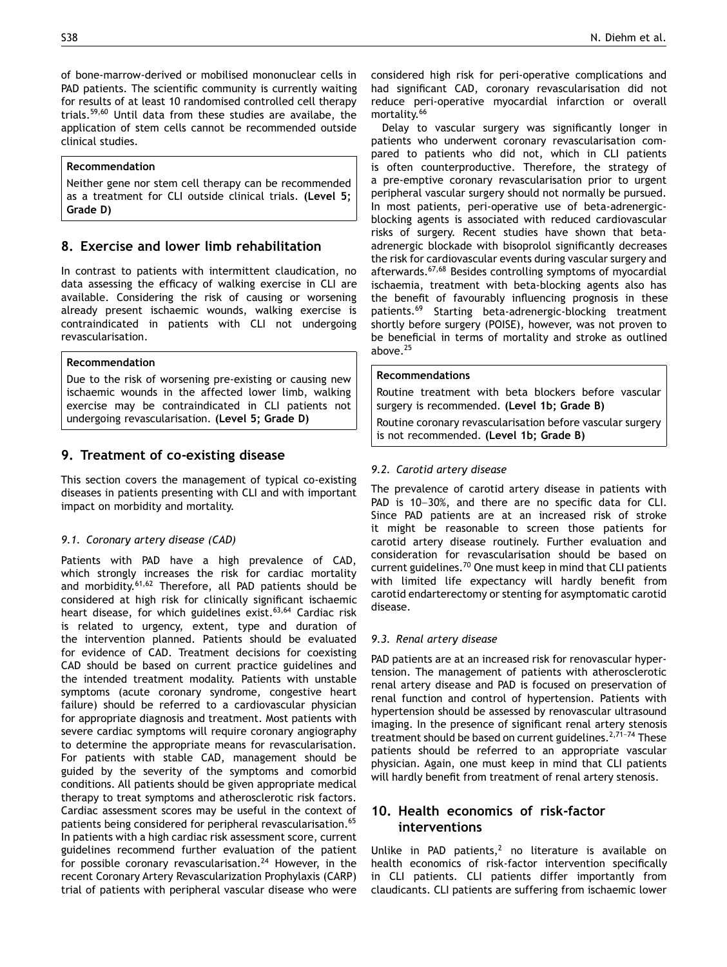of bone-marrow-derived or mobilised mononuclear cells in PAD patients. The scientific community is currently waiting for results of at least 10 randomised controlled cell therapy trials.59,60 Until data from these studies are availabe, the application of stem cells cannot be recommended outside clinical studies.

#### Recommendation

Neither gene nor stem cell therapy can be recommended as a treatment for CLI outside clinical trials. (Level 5; Grade D)

## 8. Exercise and lower limb rehabilitation

In contrast to patients with intermittent claudication, no data assessing the efficacy of walking exercise in CLI are available. Considering the risk of causing or worsening already present ischaemic wounds, walking exercise is contraindicated in patients with CLI not undergoing revascularisation.

## Recommendation

Due to the risk of worsening pre-existing or causing new ischaemic wounds in the affected lower limb, walking exercise may be contraindicated in CLI patients not undergoing revascularisation. (Level 5; Grade D)

## 9. Treatment of co-existing disease

This section covers the management of typical co-existing diseases in patients presenting with CLI and with important impact on morbidity and mortality.

#### 9.1. Coronary artery disease (CAD)

Patients with PAD have a high prevalence of CAD, which strongly increases the risk for cardiac mortality and morbidity.61,62 Therefore, all PAD patients should be considered at high risk for clinically significant ischaemic heart disease, for which guidelines exist.<sup>63,64</sup> Cardiac risk is related to urgency, extent, type and duration of the intervention planned. Patients should be evaluated for evidence of CAD. Treatment decisions for coexisting CAD should be based on current practice guidelines and the intended treatment modality. Patients with unstable symptoms (acute coronary syndrome, congestive heart failure) should be referred to a cardiovascular physician for appropriate diagnosis and treatment. Most patients with severe cardiac symptoms will require coronary angiography to determine the appropriate means for revascularisation. For patients with stable CAD, management should be guided by the severity of the symptoms and comorbid conditions. All patients should be given appropriate medical therapy to treat symptoms and atherosclerotic risk factors. Cardiac assessment scores may be useful in the context of patients being considered for peripheral revascularisation.<sup>65</sup> In patients with a high cardiac risk assessment score, current guidelines recommend further evaluation of the patient for possible coronary revascularisation.<sup>24</sup> However, in the recent Coronary Artery Revascularization Prophylaxis (CARP) trial of patients with peripheral vascular disease who were

considered high risk for peri-operative complications and had significant CAD, coronary revascularisation did not reduce peri-operative myocardial infarction or overall mortality.<sup>66</sup>

Delay to vascular surgery was significantly longer in patients who underwent coronary revascularisation compared to patients who did not, which in CLI patients is often counterproductive. Therefore, the strategy of a pre-emptive coronary revascularisation prior to urgent peripheral vascular surgery should not normally be pursued. In most patients, peri-operative use of beta-adrenergicblocking agents is associated with reduced cardiovascular risks of surgery. Recent studies have shown that betaadrenergic blockade with bisoprolol significantly decreases the risk for cardiovascular events during vascular surgery and afterwards.67,68 Besides controlling symptoms of myocardial ischaemia, treatment with beta-blocking agents also has the benefit of favourably influencing prognosis in these patients.69 Starting beta-adrenergic-blocking treatment shortly before surgery (POISE), however, was not proven to be beneficial in terms of mortality and stroke as outlined above.25

## Recommendations

Routine treatment with beta blockers before vascular surgery is recommended. (Level 1b; Grade B)

Routine coronary revascularisation before vascular surgery is not recommended. (Level 1b; Grade B)

#### 9.2. Carotid artery disease

The prevalence of carotid artery disease in patients with PAD is 10-30%, and there are no specific data for CLI. Since PAD patients are at an increased risk of stroke it might be reasonable to screen those patients for carotid artery disease routinely. Further evaluation and consideration for revascularisation should be based on current guidelines.<sup>70</sup> One must keep in mind that CLI patients with limited life expectancy will hardly benefit from carotid endarterectomy or stenting for asymptomatic carotid disease.

## 9.3. Renal artery disease

PAD patients are at an increased risk for renovascular hypertension. The management of patients with atherosclerotic renal artery disease and PAD is focused on preservation of renal function and control of hypertension. Patients with hypertension should be assessed by renovascular ultrasound imaging. In the presence of significant renal artery stenosis treatment should be based on current guidelines.<sup>2,71-74</sup> These patients should be referred to an appropriate vascular physician. Again, one must keep in mind that CLI patients will hardly benefit from treatment of renal artery stenosis.

# 10. Health economics of risk-factor interventions

Unlike in PAD patients,<sup>2</sup> no literature is available on health economics of risk-factor intervention specifically in CLI patients. CLI patients differ importantly from claudicants. CLI patients are suffering from ischaemic lower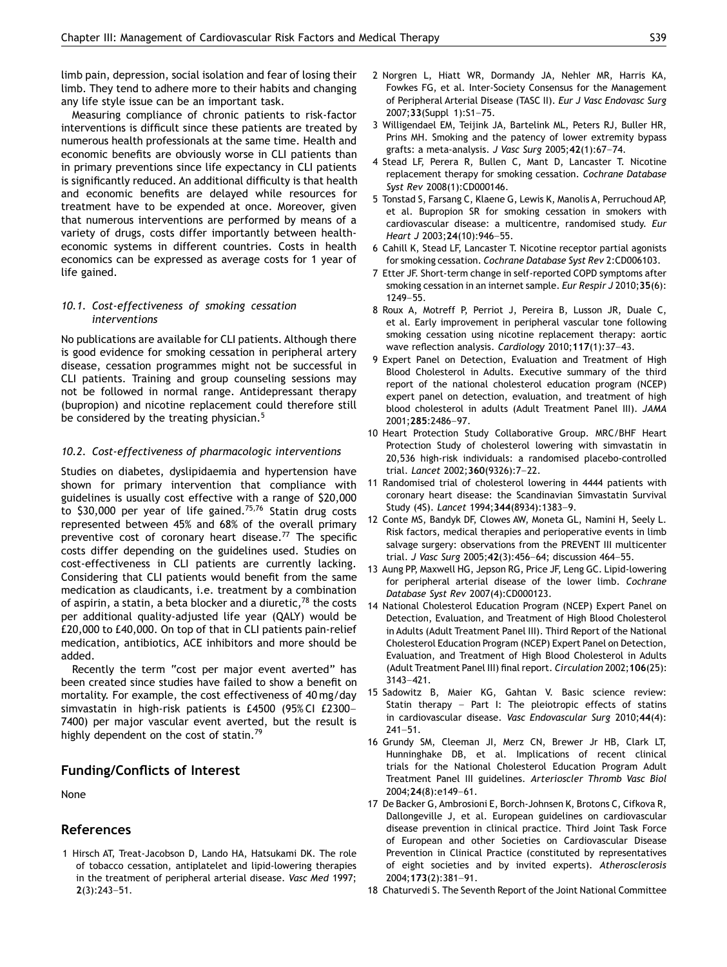limb pain, depression, social isolation and fear of losing their limb. They tend to adhere more to their habits and changing any life style issue can be an important task.

Measuring compliance of chronic patients to risk-factor interventions is difficult since these patients are treated by numerous health professionals at the same time. Health and economic benefits are obviously worse in CLI patients than in primary preventions since life expectancy in CLI patients is significantly reduced. An additional difficulty is that health and economic benefits are delayed while resources for treatment have to be expended at once. Moreover, given that numerous interventions are performed by means of a variety of drugs, costs differ importantly between healtheconomic systems in different countries. Costs in health economics can be expressed as average costs for 1 year of life gained.

#### 10.1. Cost-effectiveness of smoking cessation interventions

No publications are available for CLI patients. Although there is good evidence for smoking cessation in peripheral artery disease, cessation programmes might not be successful in CLI patients. Training and group counseling sessions may not be followed in normal range. Antidepressant therapy (bupropion) and nicotine replacement could therefore still be considered by the treating physician.<sup>5</sup>

#### 10.2. Cost-effectiveness of pharmacologic interventions

Studies on diabetes, dyslipidaemia and hypertension have shown for primary intervention that compliance with guidelines is usually cost effective with a range of \$20,000 to \$30,000 per year of life gained.<sup>75,76</sup> Statin drug costs represented between 45% and 68% of the overall primary preventive cost of coronary heart disease.<sup>77</sup> The specific costs differ depending on the guidelines used. Studies on cost-effectiveness in CLI patients are currently lacking. Considering that CLI patients would benefit from the same medication as claudicants, i.e. treatment by a combination of aspirin, a statin, a beta blocker and a diuretic, $78$  the costs per additional quality-adjusted life year (QALY) would be £20,000 to £40,000. On top of that in CLI patients pain-relief medication, antibiotics, ACE inhibitors and more should be added.

Recently the term "cost per major event averted" has been created since studies have failed to show a benefit on mortality. For example, the cost effectiveness of 40 mg/day simvastatin in high-risk patients is £4500 (95% CI £2300–– 7400) per major vascular event averted, but the result is highly dependent on the cost of statin.<sup>79</sup>

## Funding/Conflicts of Interest

None

#### References

1 Hirsch AT, Treat-Jacobson D, Lando HA, Hatsukami DK. The role of tobacco cessation, antiplatelet and lipid-lowering therapies in the treatment of peripheral arterial disease. Vasc Med 1997;  $2(3):243-51.$ 

- 2 Norgren L, Hiatt WR, Dormandy JA, Nehler MR, Harris KA, Fowkes FG, et al. Inter-Society Consensus for the Management of Peripheral Arterial Disease (TASC II). Eur J Vasc Endovasc Surg 2007;33(Suppl 1):S1-75.
- 3 Willigendael EM, Teijink JA, Bartelink ML, Peters RJ, Buller HR, Prins MH. Smoking and the patency of lower extremity bypass grafts: a meta-analysis. J Vasc Surg 2005;42(1):67-74.
- 4 Stead LF, Perera R, Bullen C, Mant D, Lancaster T. Nicotine replacement therapy for smoking cessation. Cochrane Database Syst Rev 2008(1):CD000146.
- 5 Tonstad S, Farsang C, Klaene G, Lewis K, Manolis A, Perruchoud AP, et al. Bupropion SR for smoking cessation in smokers with cardiovascular disease: a multicentre, randomised study. Eur Heart J 2003;24(10):946-55.
- 6 Cahill K, Stead LF, Lancaster T. Nicotine receptor partial agonists for smoking cessation. Cochrane Database Syst Rev 2:CD006103.
- 7 Etter JF. Short-term change in self-reported COPD symptoms after smoking cessation in an internet sample. Eur Respir J 2010;35(6):  $1249 - 55.$
- 8 Roux A, Motreff P, Perriot J, Pereira B, Lusson JR, Duale C, et al. Early improvement in peripheral vascular tone following smoking cessation using nicotine replacement therapy: aortic wave reflection analysis. Cardiology 2010;117(1):37-43.
- 9 Expert Panel on Detection, Evaluation and Treatment of High Blood Cholesterol in Adults. Executive summary of the third report of the national cholesterol education program (NCEP) expert panel on detection, evaluation, and treatment of high blood cholesterol in adults (Adult Treatment Panel III). JAMA 2001;285:2486––97.
- 10 Heart Protection Study Collaborative Group. MRC/BHF Heart Protection Study of cholesterol lowering with simvastatin in 20,536 high-risk individuals: a randomised placebo-controlled trial. Lancet 2002;360(9326):7-22.
- 11 Randomised trial of cholesterol lowering in 4444 patients with coronary heart disease: the Scandinavian Simvastatin Survival Study (4S). Lancet 1994;344(8934):1383––9.
- 12 Conte MS, Bandyk DF, Clowes AW, Moneta GL, Namini H, Seely L. Risk factors, medical therapies and perioperative events in limb salvage surgery: observations from the PREVENT III multicenter trial. J Vasc Surg 2005;42(3):456-64; discussion 464-55.
- 13 Aung PP, Maxwell HG, Jepson RG, Price JF, Leng GC. Lipid-lowering for peripheral arterial disease of the lower limb. Cochrane Database Syst Rev 2007(4):CD000123.
- 14 National Cholesterol Education Program (NCEP) Expert Panel on Detection, Evaluation, and Treatment of High Blood Cholesterol in Adults (Adult Treatment Panel III). Third Report of the National Cholesterol Education Program (NCEP) Expert Panel on Detection, Evaluation, and Treatment of High Blood Cholesterol in Adults (Adult Treatment Panel III) final report. Circulation 2002;106(25):  $3143 - 421$ .
- 15 Sadowitz B, Maier KG, Gahtan V. Basic science review: Statin therapy –– Part I: The pleiotropic effects of statins in cardiovascular disease. Vasc Endovascular Surg 2010;44(4):  $241 - 51$ .
- 16 Grundy SM, Cleeman JI, Merz CN, Brewer Jr HB, Clark LT, Hunninghake DB, et al. Implications of recent clinical trials for the National Cholesterol Education Program Adult Treatment Panel III guidelines. Arterioscler Thromb Vasc Biol 2004;24(8):e149-61.
- 17 De Backer G, Ambrosioni E, Borch-Johnsen K, Brotons C, Cifkova R, Dallongeville J, et al. European guidelines on cardiovascular disease prevention in clinical practice. Third Joint Task Force of European and other Societies on Cardiovascular Disease Prevention in Clinical Practice (constituted by representatives of eight societies and by invited experts). Atherosclerosis 2004;173(2):381––91.
- 18 Chaturvedi S. The Seventh Report of the Joint National Committee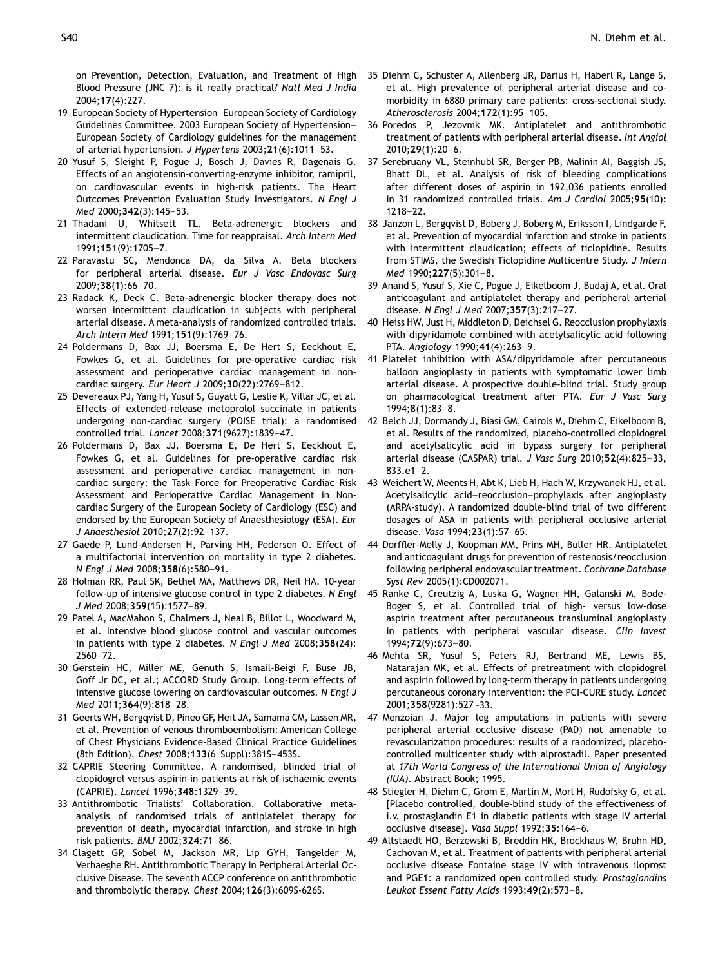on Prevention, Detection, Evaluation, and Treatment of High Blood Pressure (JNC 7): is it really practical? Natl Med J India 2004;17(4):227.

- 19 European Society of Hypertension–European Society of Cardiology Guidelines Committee. 2003 European Society of Hypertension–– European Society of Cardiology guidelines for the management of arterial hypertension. J Hypertens 2003;21(6):1011-53.
- 20 Yusuf S, Sleight P, Pogue J, Bosch J, Davies R, Dagenais G. Effects of an angiotensin-converting-enzyme inhibitor, ramipril, on cardiovascular events in high-risk patients. The Heart Outcomes Prevention Evaluation Study Investigators. N Engl J Med 2000;342(3):145-53.
- 21 Thadani U, Whitsett TL. Beta-adrenergic blockers and intermittent claudication. Time for reappraisal. Arch Intern Med 1991;151(9):1705––7.
- 22 Paravastu SC, Mendonca DA, da Silva A. Beta blockers for peripheral arterial disease. Eur J Vasc Endovasc Surg  $2009;38(1):66-70.$
- 23 Radack K, Deck C. Beta-adrenergic blocker therapy does not worsen intermittent claudication in subjects with peripheral arterial disease. A meta-analysis of randomized controlled trials. Arch Intern Med 1991;151(9):1769-76.
- 24 Poldermans D, Bax JJ, Boersma E, De Hert S, Eeckhout E, Fowkes G, et al. Guidelines for pre-operative cardiac risk assessment and perioperative cardiac management in noncardiac surgery. Eur Heart J 2009;30(22):2769-812.
- 25 Devereaux PJ, Yang H, Yusuf S, Guyatt G, Leslie K, Villar JC, et al. Effects of extended-release metoprolol succinate in patients undergoing non-cardiac surgery (POISE trial): a randomised controlled trial. Lancet 2008;371(9627):1839-47.
- 26 Poldermans D, Bax JJ, Boersma E, De Hert S, Eeckhout E, Fowkes G, et al. Guidelines for pre-operative cardiac risk assessment and perioperative cardiac management in noncardiac surgery: the Task Force for Preoperative Cardiac Risk Assessment and Perioperative Cardiac Management in Noncardiac Surgery of the European Society of Cardiology (ESC) and endorsed by the European Society of Anaesthesiology (ESA). Eur J Anaesthesiol 2010;27(2):92––137.
- 27 Gaede P, Lund-Andersen H, Parving HH, Pedersen O. Effect of a multifactorial intervention on mortality in type 2 diabetes. N Engl J Med 2008;358(6):580––91.
- 28 Holman RR, Paul SK, Bethel MA, Matthews DR, Neil HA. 10-year follow-up of intensive glucose control in type 2 diabetes. N Engl J Med 2008;359(15):1577-89.
- 29 Patel A, MacMahon S, Chalmers J, Neal B, Billot L, Woodward M, et al. Intensive blood glucose control and vascular outcomes in patients with type 2 diabetes. N Engl J Med 2008;358(24): 2560––72.
- 30 Gerstein HC, Miller ME, Genuth S, Ismail-Beigi F, Buse JB, Goff Jr DC, et al.; ACCORD Study Group. Long-term effects of intensive glucose lowering on cardiovascular outcomes. N Engl J Med 2011;364(9):818-28.
- 31 Geerts WH, Bergqvist D, Pineo GF, Heit JA, Samama CM, Lassen MR, et al. Prevention of venous thromboembolism: American College of Chest Physicians Evidence-Based Clinical Practice Guidelines (8th Edition). Chest 2008;133(6 Suppl):381S––453S.
- 32 CAPRIE Steering Committee. A randomised, blinded trial of clopidogrel versus aspirin in patients at risk of ischaemic events (CAPRIE). Lancet 1996;348:1329––39.
- 33 Antithrombotic Trialists' Collaboration. Collaborative metaanalysis of randomised trials of antiplatelet therapy for prevention of death, myocardial infarction, and stroke in high risk patients. BMJ 2002;324:71-86.
- 34 Clagett GP, Sobel M, Jackson MR, Lip GYH, Tangelder M, Verhaeghe RH. Antithrombotic Therapy in Peripheral Arterial Occlusive Disease. The seventh ACCP conference on antithrombotic and thrombolytic therapy. Chest 2004;126(3):609S-626S.
- 35 Diehm C, Schuster A, Allenberg JR, Darius H, Haberl R, Lange S, et al. High prevalence of peripheral arterial disease and comorbidity in 6880 primary care patients: cross-sectional study. Atherosclerosis 2004;172(1):95-105.
- 36 Poredos P, Jezovnik MK. Antiplatelet and antithrombotic treatment of patients with peripheral arterial disease. Int Angiol  $2010;29(1):20-6.$
- 37 Serebruany VL, Steinhubl SR, Berger PB, Malinin AI, Baggish JS, Bhatt DL, et al. Analysis of risk of bleeding complications after different doses of aspirin in 192,036 patients enrolled in 31 randomized controlled trials. Am J Cardiol 2005;95(10): 1218––22.
- 38 Janzon L, Bergqvist D, Boberg J, Boberg M, Eriksson I, Lindgarde F, et al. Prevention of myocardial infarction and stroke in patients with intermittent claudication; effects of ticlopidine. Results from STIMS, the Swedish Ticlopidine Multicentre Study. J Intern Med 1990;227(5):301-8.
- 39 Anand S, Yusuf S, Xie C, Pogue J, Eikelboom J, Budaj A, et al. Oral anticoagulant and antiplatelet therapy and peripheral arterial disease. N Engl J Med 2007;357(3):217-27.
- 40 Heiss HW, Just H, Middleton D, Deichsel G. Reocclusion prophylaxis with dipyridamole combined with acetylsalicylic acid following PTA. Angiology 1990;41(4):263-9.
- 41 Platelet inhibition with ASA/dipyridamole after percutaneous balloon angioplasty in patients with symptomatic lower limb arterial disease. A prospective double-blind trial. Study group on pharmacological treatment after PTA. Eur J Vasc Surg  $1994:8(1):83-8.$
- 42 Belch JJ, Dormandy J, Biasi GM, Cairols M, Diehm C, Eikelboom B, et al. Results of the randomized, placebo-controlled clopidogrel and acetylsalicylic acid in bypass surgery for peripheral arterial disease (CASPAR) trial. J Vasc Surg 2010;52(4):825-33,  $833.e1-2.$
- 43 Weichert W, Meents H, Abt K, Lieb H, Hach W, Krzywanek HJ, et al. Acetylsalicylic acid-reocclusion-prophylaxis after angioplasty (ARPA-study). A randomized double-blind trial of two different dosages of ASA in patients with peripheral occlusive arterial disease. Vasa 1994;23(1):57-65.
- 44 Dorffler-Melly J, Koopman MM, Prins MH, Buller HR. Antiplatelet and anticoagulant drugs for prevention of restenosis/reocclusion following peripheral endovascular treatment. Cochrane Database Syst Rev 2005(1):CD002071.
- 45 Ranke C, Creutzig A, Luska G, Wagner HH, Galanski M, Bode-Boger S, et al. Controlled trial of high- versus low-dose aspirin treatment after percutaneous transluminal angioplasty in patients with peripheral vascular disease. Clin Invest 1994;72(9):673––80.
- 46 Mehta SR, Yusuf S, Peters RJ, Bertrand ME, Lewis BS, Natarajan MK, et al. Effects of pretreatment with clopidogrel and aspirin followed by long-term therapy in patients undergoing percutaneous coronary intervention: the PCI-CURE study. Lancet 2001;358(9281):527––33.
- 47 Menzoian J. Major leg amputations in patients with severe peripheral arterial occlusive disease (PAD) not amenable to revascularization procedures: results of a randomized, placebocontrolled multicenter study with alprostadil. Paper presented at 17th World Congress of the International Union of Angiology (IUA). Abstract Book; 1995.
- 48 Stiegler H, Diehm C, Grom E, Martin M, Morl H, Rudofsky G, et al. [Placebo controlled, double-blind study of the effectiveness of i.v. prostaglandin E1 in diabetic patients with stage IV arterial occlusive disease]. Vasa Suppl 1992;35:164-6.
- 49 Altstaedt HO, Berzewski B, Breddin HK, Brockhaus W, Bruhn HD, Cachovan M, et al. Treatment of patients with peripheral arterial occlusive disease Fontaine stage IV with intravenous iloprost and PGE1: a randomized open controlled study. Prostaglandins Leukot Essent Fatty Acids 1993;49(2):573-8.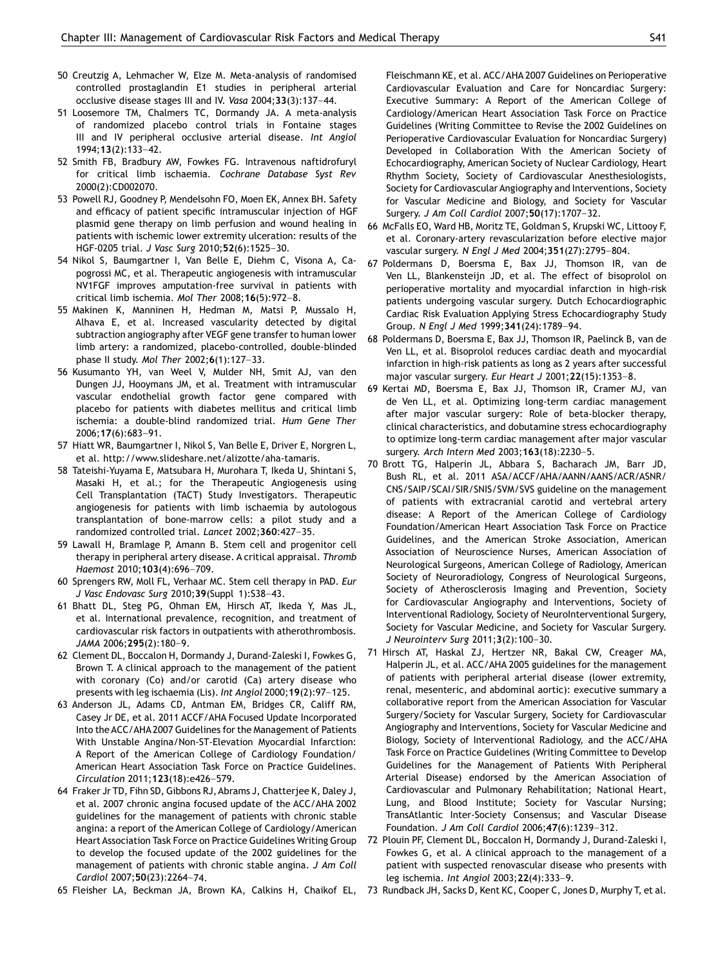- 50 Creutzig A, Lehmacher W, Elze M. Meta-analysis of randomised controlled prostaglandin E1 studies in peripheral arterial occlusive disease stages III and IV. Vasa 2004;33(3):137-44.
- 51 Loosemore TM, Chalmers TC, Dormandy JA. A meta-analysis of randomized placebo control trials in Fontaine stages III and IV peripheral occlusive arterial disease. Int Angiol 1994;13(2):133––42.
- 52 Smith FB, Bradbury AW, Fowkes FG. Intravenous naftidrofuryl for critical limb ischaemia. Cochrane Database Syst Rev 2000(2):CD002070.
- 53 Powell RJ, Goodney P, Mendelsohn FO, Moen EK, Annex BH. Safety and efficacy of patient specific intramuscular injection of HGF plasmid gene therapy on limb perfusion and wound healing in patients with ischemic lower extremity ulceration: results of the HGF-0205 trial. J Vasc Surg 2010;52(6):1525––30.
- 54 Nikol S, Baumgartner I, Van Belle E, Diehm C, Visona A, Capogrossi MC, et al. Therapeutic angiogenesis with intramuscular NV1FGF improves amputation-free survival in patients with critical limb ischemia. Mol Ther 2008;16(5):972-8.
- 55 Makinen K, Manninen H, Hedman M, Matsi P, Mussalo H, Alhava E, et al. Increased vascularity detected by digital subtraction angiography after VEGF gene transfer to human lower limb artery: a randomized, placebo-controlled, double-blinded phase II study. Mol Ther 2002;6(1):127-33.
- 56 Kusumanto YH, van Weel V, Mulder NH, Smit AJ, van den Dungen JJ, Hooymans JM, et al. Treatment with intramuscular vascular endothelial growth factor gene compared with placebo for patients with diabetes mellitus and critical limb ischemia: a double-blind randomized trial. Hum Gene Ther 2006;17(6):683––91.
- 57 Hiatt WR, Baumgartner I, Nikol S, Van Belle E, Driver E, Norgren L, et al. http://www.slideshare.net/alizotte/aha-tamaris.
- 58 Tateishi-Yuyama E, Matsubara H, Murohara T, Ikeda U, Shintani S, Masaki H, et al.; for the Therapeutic Angiogenesis using Cell Transplantation (TACT) Study Investigators. Therapeutic angiogenesis for patients with limb ischaemia by autologous transplantation of bone-marrow cells: a pilot study and a randomized controlled trial. Lancet 2002;360:427-35.
- 59 Lawall H, Bramlage P, Amann B. Stem cell and progenitor cell therapy in peripheral artery disease. A critical appraisal. Thromb Haemost 2010;103(4):696-709.
- 60 Sprengers RW, Moll FL, Verhaar MC. Stem cell therapy in PAD. Eur J Vasc Endovasc Surg 2010;39(Suppl 1):S38––43.
- 61 Bhatt DL, Steg PG, Ohman EM, Hirsch AT, Ikeda Y, Mas JL, et al. International prevalence, recognition, and treatment of cardiovascular risk factors in outpatients with atherothrombosis. JAMA 2006;295(2):180-9.
- 62 Clement DL, Boccalon H, Dormandy J, Durand-Zaleski I, Fowkes G, Brown T. A clinical approach to the management of the patient with coronary (Co) and/or carotid (Ca) artery disease who presents with leg ischaemia (Lis). Int Angiol 2000; 19(2): 97-125.
- 63 Anderson JL, Adams CD, Antman EM, Bridges CR, Califf RM, Casey Jr DE, et al. 2011 ACCF/AHA Focused Update Incorporated Into the ACC/AHA 2007 Guidelines for the Management of Patients With Unstable Angina/Non-ST-Elevation Myocardial Infarction: A Report of the American College of Cardiology Foundation/ American Heart Association Task Force on Practice Guidelines. Circulation 2011;123(18):e426––579.
- 64 Fraker Jr TD, Fihn SD, Gibbons RJ, Abrams J, Chatterjee K, Daley J, et al. 2007 chronic angina focused update of the ACC/AHA 2002 guidelines for the management of patients with chronic stable angina: a report of the American College of Cardiology/American Heart Association Task Force on Practice Guidelines Writing Group to develop the focused update of the 2002 guidelines for the management of patients with chronic stable angina. J Am Coll Cardiol 2007;50(23):2264-74.
- 65 Fleisher LA, Beckman JA, Brown KA, Calkins H, Chaikof EL, 73 Rundback JH, Sacks D, Kent KC, Cooper C, Jones D, Murphy T, et al.

Fleischmann KE, et al. ACC/AHA 2007 Guidelines on Perioperative Cardiovascular Evaluation and Care for Noncardiac Surgery: Executive Summary: A Report of the American College of Cardiology/American Heart Association Task Force on Practice Guidelines (Writing Committee to Revise the 2002 Guidelines on Perioperative Cardiovascular Evaluation for Noncardiac Surgery) Developed in Collaboration With the American Society of Echocardiography, American Society of Nuclear Cardiology, Heart Rhythm Society, Society of Cardiovascular Anesthesiologists, Society for Cardiovascular Angiography and Interventions, Society for Vascular Medicine and Biology, and Society for Vascular Surgery. J Am Coll Cardiol 2007;50(17):1707-32.

- 66 McFalls EO, Ward HB, Moritz TE, Goldman S, Krupski WC, Littooy F, et al. Coronary-artery revascularization before elective major vascular surgery. N Engl J Med 2004;351(27):2795––804.
- 67 Poldermans D, Boersma E, Bax JJ, Thomson IR, van de Ven LL, Blankensteijn JD, et al. The effect of bisoprolol on perioperative mortality and myocardial infarction in high-risk patients undergoing vascular surgery. Dutch Echocardiographic Cardiac Risk Evaluation Applying Stress Echocardiography Study Group. N Engl J Med 1999;341(24):1789––94.
- 68 Poldermans D, Boersma E, Bax JJ, Thomson IR, Paelinck B, van de Ven LL, et al. Bisoprolol reduces cardiac death and myocardial infarction in high-risk patients as long as 2 years after successful major vascular surgery. Eur Heart J 2001;22(15):1353-8.
- 69 Kertai MD, Boersma E, Bax JJ, Thomson IR, Cramer MJ, van de Ven LL, et al. Optimizing long-term cardiac management after major vascular surgery: Role of beta-blocker therapy, clinical characteristics, and dobutamine stress echocardiography to optimize long-term cardiac management after major vascular surgery. Arch Intern Med 2003;163(18):2230-5.
- 70 Brott TG, Halperin JL, Abbara S, Bacharach JM, Barr JD, Bush RL, et al. 2011 ASA/ACCF/AHA/AANN/AANS/ACR/ASNR/ CNS/SAIP/SCAI/SIR/SNIS/SVM/SVS guideline on the management of patients with extracranial carotid and vertebral artery disease: A Report of the American College of Cardiology Foundation/American Heart Association Task Force on Practice Guidelines, and the American Stroke Association, American Association of Neuroscience Nurses, American Association of Neurological Surgeons, American College of Radiology, American Society of Neuroradiology, Congress of Neurological Surgeons, Society of Atherosclerosis Imaging and Prevention, Society for Cardiovascular Angiography and Interventions, Society of Interventional Radiology, Society of NeuroInterventional Surgery, Society for Vascular Medicine, and Society for Vascular Surgery. J Neurointerv Surg 2011;3(2):100––30.
- 71 Hirsch AT, Haskal ZJ, Hertzer NR, Bakal CW, Creager MA, Halperin JL, et al. ACC/AHA 2005 guidelines for the management of patients with peripheral arterial disease (lower extremity, renal, mesenteric, and abdominal aortic): executive summary a collaborative report from the American Association for Vascular Surgery/Society for Vascular Surgery, Society for Cardiovascular Angiography and Interventions, Society for Vascular Medicine and Biology, Society of Interventional Radiology, and the ACC/AHA Task Force on Practice Guidelines (Writing Committee to Develop Guidelines for the Management of Patients With Peripheral Arterial Disease) endorsed by the American Association of Cardiovascular and Pulmonary Rehabilitation; National Heart, Lung, and Blood Institute; Society for Vascular Nursing; TransAtlantic Inter-Society Consensus; and Vascular Disease Foundation. J Am Coll Cardiol 2006;47(6):1239––312.
- 72 Plouin PF, Clement DL, Boccalon H, Dormandy J, Durand-Zaleski I, Fowkes G, et al. A clinical approach to the management of a patient with suspected renovascular disease who presents with leg ischemia. Int Angiol 2003;22(4):333––9.
-